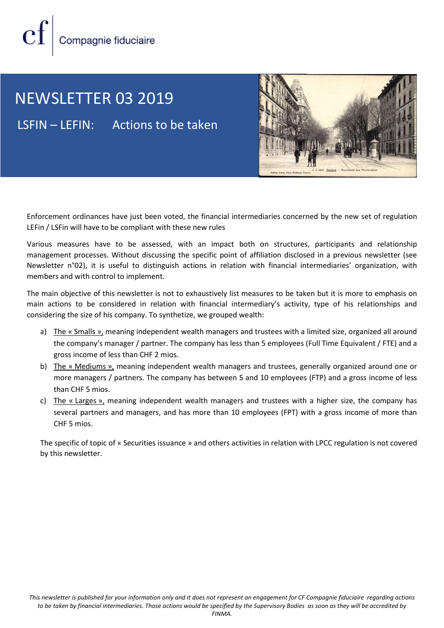

### NEWSLETTER 03 2019

LSFIN – LEFIN: Actions to be taken



Enforcement ordinances have just been voted, the financial intermediaries concerned by the new set of regulation LEFin / LSFin will have to be compliant with these new rules

Various measures have to be assessed, with an impact both on structures, participants and relationship management processes. Without discussing the specific point of affiliation disclosed in a previous newsletter (see Newsletter n°02), it is useful to distinguish actions in relation with financial intermediaries' organization, with members and with control to implement.

The main objective of this newsletter is not to exhaustively list measures to be taken but it is more to emphasis on main actions to be considered in relation with financial intermediary's activity, type of his relationships and considering the size of his company. To synthetize, we grouped wealth:

- a) The « Smalls », meaning independent wealth managers and trustees with a limited size, organized all around the company's manager / partner. The company has less than 5 employees (Full Time Equivalent / FTE) and a gross income of less than CHF 2 mios.
- b) The « Mediums », meaning independent wealth managers and trustees, generally organized around one or more managers / partners. The company has between 5 and 10 employees (FTP) and a gross income of less than CHF 5 mios.
- c) The « Larges », meaning independent wealth managers and trustees with a higher size, the company has several partners and managers, and has more than 10 employees (FPT) with a gross income of more than CHF 5 mios.

The specific of topic of « Securities issuance » and others activities in relation with LPCC regulation is not covered by this newsletter.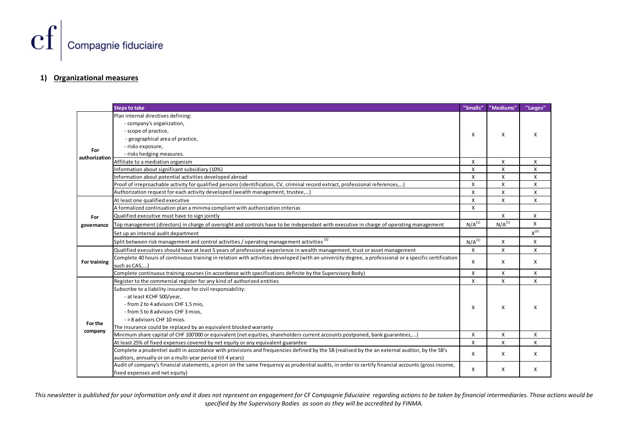

#### 1) Organizational measures

|                           | ompagnie fiduciaire                                                                                                                                                                                               |                           |                           |                           |
|---------------------------|-------------------------------------------------------------------------------------------------------------------------------------------------------------------------------------------------------------------|---------------------------|---------------------------|---------------------------|
|                           |                                                                                                                                                                                                                   |                           |                           |                           |
|                           |                                                                                                                                                                                                                   |                           |                           |                           |
|                           |                                                                                                                                                                                                                   |                           |                           |                           |
|                           |                                                                                                                                                                                                                   |                           |                           |                           |
|                           |                                                                                                                                                                                                                   |                           |                           |                           |
|                           |                                                                                                                                                                                                                   |                           |                           |                           |
|                           |                                                                                                                                                                                                                   |                           |                           |                           |
|                           |                                                                                                                                                                                                                   |                           |                           |                           |
|                           |                                                                                                                                                                                                                   |                           |                           |                           |
|                           |                                                                                                                                                                                                                   |                           |                           |                           |
|                           |                                                                                                                                                                                                                   |                           |                           |                           |
|                           |                                                                                                                                                                                                                   |                           |                           |                           |
|                           |                                                                                                                                                                                                                   |                           |                           |                           |
| <u>izational measures</u> |                                                                                                                                                                                                                   |                           |                           |                           |
|                           |                                                                                                                                                                                                                   |                           |                           |                           |
|                           |                                                                                                                                                                                                                   |                           |                           |                           |
|                           |                                                                                                                                                                                                                   |                           |                           |                           |
|                           | <b>Steps to take</b>                                                                                                                                                                                              | "Smalls"                  | "Mediums"                 | "Larges"                  |
|                           | Plan internal directives defining:                                                                                                                                                                                |                           |                           |                           |
|                           | - company's organization,                                                                                                                                                                                         |                           |                           |                           |
|                           | - scope of practice,                                                                                                                                                                                              |                           |                           |                           |
| For<br>authorization      | - geographical area of practice,                                                                                                                                                                                  | X                         | X                         | Х                         |
|                           | - risks exposure,                                                                                                                                                                                                 |                           |                           |                           |
|                           | - risks hedging measures.                                                                                                                                                                                         |                           |                           |                           |
|                           | Affiliate to a mediation organism                                                                                                                                                                                 | $\mathsf{x}$              | $\boldsymbol{\mathsf{X}}$ | $\boldsymbol{\mathsf{X}}$ |
|                           | Information about significant subsidiary (10%)                                                                                                                                                                    | $\mathsf{X}$              | $\mathsf{X}$              | $\mathsf{x}$              |
|                           | Information about potential activities developed abroad                                                                                                                                                           | X                         | X                         | $\boldsymbol{\mathsf{x}}$ |
|                           |                                                                                                                                                                                                                   | $\boldsymbol{\mathsf{x}}$ | $\mathsf{x}$              | $\boldsymbol{\mathsf{x}}$ |
|                           | Proof of irreproachable activity for qualified persons (identification, CV, criminal record extract, professional references,)<br>Authorization request for each activity developed (wealth management, trustee,) | $\boldsymbol{\mathsf{x}}$ | X                         | $\boldsymbol{\mathsf{x}}$ |
|                           |                                                                                                                                                                                                                   |                           |                           |                           |
| For<br>governance         | At least one qualified executive                                                                                                                                                                                  | $\mathsf{X}$              | X                         | X                         |
|                           | A formalized continuation plan a minima compliant with authorization criterias                                                                                                                                    | $\mathsf{X}$              |                           |                           |
|                           | Qualified executive must have to sign jointly                                                                                                                                                                     |                           | $\mathsf{X}$              | $\mathsf{x}$              |
|                           | Top management (directors) in charge of oversight and controls have to be independant with executive in charge of operating management                                                                            | N/A <sup>(1)</sup>        | $N/A^{(1)}$               | X                         |
|                           | Set up an internal audit department                                                                                                                                                                               |                           |                           | $X^{(2)}$                 |
|                           | Split between risk management and control activities / operating management activities <sup>(3)</sup>                                                                                                             | N/A <sup>(1)</sup>        | $\mathsf{x}$              | X                         |
|                           | Qualified executives should have at least 5 years of professional experience in wealth management, trust or asset management                                                                                      | $\mathsf{X}$              | $\mathsf{X}$              | X                         |
|                           | Complete 40 hours of continuous training in relation with activities developed (with an university degree, a professional or a specific certification                                                             |                           |                           |                           |
| <b>For training</b>       | such as CAS,)                                                                                                                                                                                                     | X                         | X                         | X                         |
|                           | Complete continuous training courses (in accordance with specifications definite by the Supervisory Body)                                                                                                         | X                         | $\boldsymbol{\mathsf{x}}$ | X                         |
|                           | Register to the commercial register for any kind of authorized entities                                                                                                                                           | $\mathsf{X}$              | $\boldsymbol{\mathsf{X}}$ | $\mathsf{X}$              |
|                           | Subscribe to a liability insurance for civil responsability:                                                                                                                                                      |                           |                           |                           |
|                           | - at least KCHF 500/year,                                                                                                                                                                                         |                           |                           |                           |
|                           |                                                                                                                                                                                                                   |                           |                           |                           |
|                           | - from 2 to 4 advisors CHF 1.5 mio,                                                                                                                                                                               | X                         | X                         | X                         |
|                           | - from 5 to 8 advisors CHF 3 mios,                                                                                                                                                                                |                           |                           |                           |
| For the<br>company        | - > 8 advisors CHF 10 mios.                                                                                                                                                                                       |                           |                           |                           |
|                           | The insurance could be replaced by an equivalent blocked warranty                                                                                                                                                 |                           |                           |                           |
|                           | Minimum share capital of CHF 100'000 or equivalent (net equities, shareholders current accounts postponed, bank guarantees,)                                                                                      | $\mathsf{X}$              | $\mathsf{X}$              | X                         |
|                           | At least 25% of fixed expenses covered by net equity or any equivalent guarantee                                                                                                                                  | $\mathsf{X}$              | $\boldsymbol{\mathsf{X}}$ | X                         |
|                           | Complete a prudentiel audit in accordance with provisions and frequencies defined by the SB (realised by the an external auditor, by the SB's                                                                     | $\mathsf{X}$              | X                         | X                         |
|                           | auditors, annually or on a multi-year period till 4 years)                                                                                                                                                        |                           |                           |                           |
|                           | Audit of company's financial statements, a priori on the same frequency as prudential audits, in order to certify financial accounts (gross income,                                                               | X                         | X                         |                           |
|                           |                                                                                                                                                                                                                   |                           |                           |                           |
|                           | fixed expenses and net equity)                                                                                                                                                                                    |                           |                           | X                         |

This newsletter is published for your information only and it does not represent an engagement for CF Compagnie fiduciaire regarding actions to be taken by financial intermediaries. Those actions would be specified by the Supervisory Bodies as soon as they will be accredited by FINMA.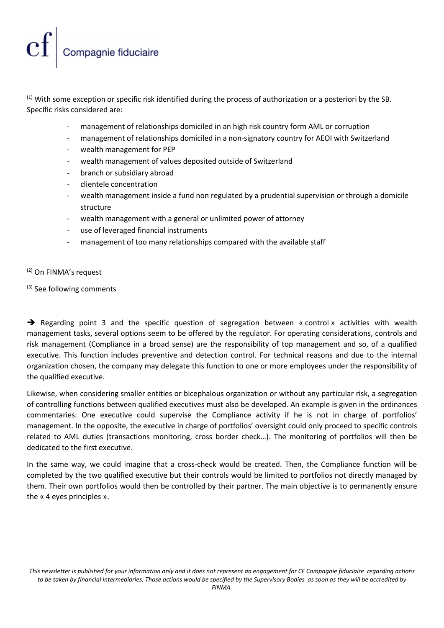### Compagnie fiduciaire

 $(1)$  With some exception or specific risk identified during the process of authorization or a posteriori by the SB. Specific risks considered are:

- management of relationships domiciled in an high risk country form AML or corruption
- management of relationships domiciled in a non-signatory country for AEOI with Switzerland
- wealth management for PEP
- wealth management of values deposited outside of Switzerland
- branch or subsidiary abroad
- clientele concentration
- wealth management inside a fund non regulated by a prudential supervision or through a domicile structure
- wealth management with a general or unlimited power of attorney
- use of leveraged financial instruments
- management of too many relationships compared with the available staff

(2) On FINMA's request

(3) See following comments

 $\rightarrow$  Regarding point 3 and the specific question of segregation between « control » activities with wealth management tasks, several options seem to be offered by the regulator. For operating considerations, controls and risk management (Compliance in a broad sense) are the responsibility of top management and so, of a qualified executive. This function includes preventive and detection control. For technical reasons and due to the internal organization chosen, the company may delegate this function to one or more employees under the responsibility of the qualified executive.

Likewise, when considering smaller entities or bicephalous organization or without any particular risk, a segregation of controlling functions between qualified executives must also be developed. An example is given in the ordinances commentaries. One executive could supervise the Compliance activity if he is not in charge of portfolios' management. In the opposite, the executive in charge of portfolios' oversight could only proceed to specific controls related to AML duties (transactions monitoring, cross border check…). The monitoring of portfolios will then be dedicated to the first executive.

In the same way, we could imagine that a cross-check would be created. Then, the Compliance function will be completed by the two qualified executive but their controls would be limited to portfolios not directly managed by them. Their own portfolios would then be controlled by their partner. The main objective is to permanently ensure the « 4 eyes principles ».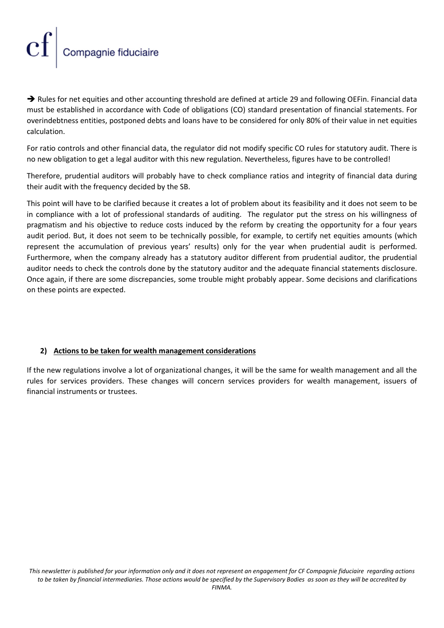# Compagnie fiduciaire

Rules for net equities and other accounting threshold are defined at article 29 and following OEFin. Financial data must be established in accordance with Code of obligations (CO) standard presentation of financial statements. For overindebtness entities, postponed debts and loans have to be considered for only 80% of their value in net equities calculation.

For ratio controls and other financial data, the regulator did not modify specific CO rules for statutory audit. There is no new obligation to get a legal auditor with this new regulation. Nevertheless, figures have to be controlled!

Therefore, prudential auditors will probably have to check compliance ratios and integrity of financial data during their audit with the frequency decided by the SB.

This point will have to be clarified because it creates a lot of problem about its feasibility and it does not seem to be in compliance with a lot of professional standards of auditing. The regulator put the stress on his willingness of pragmatism and his objective to reduce costs induced by the reform by creating the opportunity for a four years audit period. But, it does not seem to be technically possible, for example, to certify net equities amounts (which represent the accumulation of previous years' results) only for the year when prudential audit is performed. Furthermore, when the company already has a statutory auditor different from prudential auditor, the prudential auditor needs to check the controls done by the statutory auditor and the adequate financial statements disclosure. Once again, if there are some discrepancies, some trouble might probably appear. Some decisions and clarifications on these points are expected.

### 2) Actions to be taken for wealth management considerations

If the new regulations involve a lot of organizational changes, it will be the same for wealth management and all the rules for services providers. These changes will concern services providers for wealth management, issuers of financial instruments or trustees.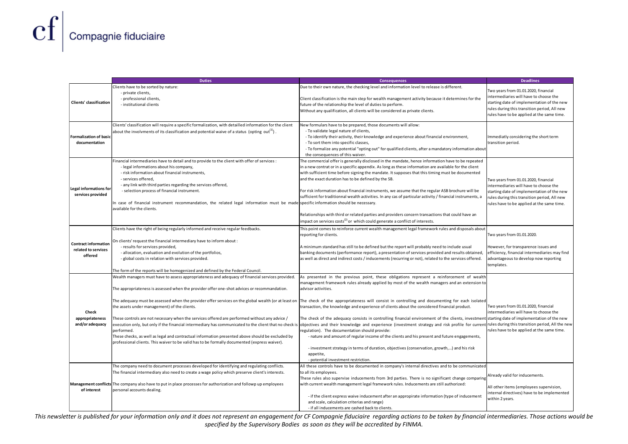|                                                    | Compagnie fiduciaire                                                                                                                                                                                                                                                                                                            |                                                                                                                                                                                                              |                                                                                        |  |
|----------------------------------------------------|---------------------------------------------------------------------------------------------------------------------------------------------------------------------------------------------------------------------------------------------------------------------------------------------------------------------------------|--------------------------------------------------------------------------------------------------------------------------------------------------------------------------------------------------------------|----------------------------------------------------------------------------------------|--|
|                                                    |                                                                                                                                                                                                                                                                                                                                 |                                                                                                                                                                                                              |                                                                                        |  |
|                                                    |                                                                                                                                                                                                                                                                                                                                 |                                                                                                                                                                                                              |                                                                                        |  |
|                                                    |                                                                                                                                                                                                                                                                                                                                 |                                                                                                                                                                                                              |                                                                                        |  |
|                                                    |                                                                                                                                                                                                                                                                                                                                 |                                                                                                                                                                                                              |                                                                                        |  |
|                                                    |                                                                                                                                                                                                                                                                                                                                 |                                                                                                                                                                                                              |                                                                                        |  |
|                                                    |                                                                                                                                                                                                                                                                                                                                 |                                                                                                                                                                                                              |                                                                                        |  |
|                                                    |                                                                                                                                                                                                                                                                                                                                 |                                                                                                                                                                                                              |                                                                                        |  |
|                                                    |                                                                                                                                                                                                                                                                                                                                 |                                                                                                                                                                                                              |                                                                                        |  |
|                                                    |                                                                                                                                                                                                                                                                                                                                 |                                                                                                                                                                                                              |                                                                                        |  |
|                                                    | <b>Duties</b>                                                                                                                                                                                                                                                                                                                   | <b>Consequences</b>                                                                                                                                                                                          | <b>Deadlines</b>                                                                       |  |
|                                                    | Clients have to be sorted by nature:<br>- private clients,                                                                                                                                                                                                                                                                      | Due to their own nature, the checking level and information level to release is different.                                                                                                                   | Two years from 01.01.2020, financial                                                   |  |
| Clients' classification                            | - professional clients,                                                                                                                                                                                                                                                                                                         | Client classification is the main step for wealth management activity because it determines for the                                                                                                          | intermediaries will have to choose the<br>starting date of implementation of the new   |  |
|                                                    | - institutional clients                                                                                                                                                                                                                                                                                                         | future of the relationship the level of duties to perform.<br>Without any qualification, all clients will be considered as private clients.                                                                  | rules during this transition period, All new                                           |  |
|                                                    |                                                                                                                                                                                                                                                                                                                                 |                                                                                                                                                                                                              | rules have to be applied at the same time.                                             |  |
|                                                    | Clients' classification will require a specific formalization, with detailled information for the client<br>about the involvments of its classification and potential waive of a status (opting out <sup>(1)</sup> ).                                                                                                           | New formulars have to be prepared, those documents will allow:<br>- To validate legal nature of clients,                                                                                                     |                                                                                        |  |
| <b>Formalization of basic</b><br>documentation     |                                                                                                                                                                                                                                                                                                                                 | - To identify their activity, their knowledge and experience about financial environment,<br>- To sort them into specific classes,                                                                           | Immediatly considering the short term<br>transition period.                            |  |
|                                                    |                                                                                                                                                                                                                                                                                                                                 | - To formalize any potential "opting out" for qualified clients, after a mandatory information about                                                                                                         |                                                                                        |  |
|                                                    | Financial intermediaries have to detail and to provide to the client with offer of services :                                                                                                                                                                                                                                   | the consequences of this waiver.<br>The commercial offer is generally disclosed in the mandate, hence information have to be repeated                                                                        |                                                                                        |  |
| <b>Legal informations for</b><br>services provided | - legal informations about his company,                                                                                                                                                                                                                                                                                         | in a new contrat or in a specific appendix. As long as these information are available for the client                                                                                                        |                                                                                        |  |
|                                                    | - risk information about financial instruments,<br>- services offered,                                                                                                                                                                                                                                                          | with sufficient time before signing the mandate. It supposes that this timing must be documented<br>and the exact duration has to be defined by the SB.                                                      | Two years from 01.01.2020, financial                                                   |  |
|                                                    | - any link with third parties regarding the services offered,<br>- selection process of financial instrument.                                                                                                                                                                                                                   | For risk information about financial instruments, we assume that the regular ASB brochure will be                                                                                                            | intermediaries will have to choose the<br>starting date of implementation of the new   |  |
|                                                    |                                                                                                                                                                                                                                                                                                                                 | sufficient for traditionnal wealth activities. In any cas of particular activity / financial instruments, a                                                                                                  | rules during this transition period, All new                                           |  |
|                                                    | In case of financial instrument recommandation, the related legal information must be made specific information should be necessary.<br>available for the clients.                                                                                                                                                              |                                                                                                                                                                                                              | rules have to be applied at the same time.                                             |  |
|                                                    |                                                                                                                                                                                                                                                                                                                                 | Relationships with third or related parties and providers concern transactions that could have an<br>impact on services costs <sup>(2)</sup> or which could generate a conflict of interests.                |                                                                                        |  |
|                                                    | Clients have the right of being regularly informed and receive regular feedbacks.                                                                                                                                                                                                                                               | This point comes to reinforce current wealth management legal framework rules and disposals about                                                                                                            |                                                                                        |  |
|                                                    | On clients' request the financial intermediary have to inform about :                                                                                                                                                                                                                                                           | reporting for clients.                                                                                                                                                                                       | Two years from 01.01.2020.                                                             |  |
| <b>Contract information</b><br>related to services | - results for services provided,                                                                                                                                                                                                                                                                                                | A minimum standard has still to be defined but the report will probably need to include usual                                                                                                                | However, for transparence issues and                                                   |  |
| offered                                            | - allocation, evaluation and evolution of the portfolios,<br>- global costs in relation with services provided.                                                                                                                                                                                                                 | banking documents (performance report), a presentation of services provided and results obtained,<br>as well as direct and indirect costs / inducements (recurring or not), related to the services offered. | efficiency, financial intermediaries may find<br>advantageous to develop now reporting |  |
|                                                    |                                                                                                                                                                                                                                                                                                                                 |                                                                                                                                                                                                              | templates.                                                                             |  |
|                                                    | he form of the reports will be homogenized and defined by the Federal Council.<br>Wealth managers must have to assess appropriateness and adequacy of financial services provided.                                                                                                                                              | As presented in the previous point, these obligations represent a reinforcement of wealth                                                                                                                    |                                                                                        |  |
|                                                    |                                                                                                                                                                                                                                                                                                                                 | management framework rules already applied by most of the wealth managers and an extension to                                                                                                                |                                                                                        |  |
|                                                    | The appropriateness is assessed when the provider offer one-shot advices or recommandation.                                                                                                                                                                                                                                     | advisor activities.                                                                                                                                                                                          |                                                                                        |  |
| Check<br>appropriateness<br>and/or adequacy        | The adequacy must be assessed when the provider offer services on the global wealth (or at least on  The check of the appropriateness will consist in controlling and documenting for each isolated<br>the assets under management) of the clients.                                                                             | transaction, the knowledge and experience of clients about the considered financial product.                                                                                                                 | Two years from 01.01.2020, financial                                                   |  |
|                                                    |                                                                                                                                                                                                                                                                                                                                 |                                                                                                                                                                                                              | intermediaries will have to choose the                                                 |  |
|                                                    | These controls are not necessary when the services offered are performed without any advice /<br>execution only, but only if the financial intermediary has communicated to the client that no check is   objectives and their knowledge and experience (investment strategy and risk profile for current rules during this tra | The check of the adequacy consists in controlling financial environment of the clients, investment starting date of implementation of the new                                                                |                                                                                        |  |
|                                                    | performed.                                                                                                                                                                                                                                                                                                                      | regulation). The documentation should provide:                                                                                                                                                               | rules have to be applied at the same time.                                             |  |
|                                                    | These checks, as well as legal and contractual information presented above should be excluded by<br>professional clients. This waiver to be valid has to be formally documented (express waiver).                                                                                                                               | - nature and amount of regular income of the clients and his present and future engagements,                                                                                                                 |                                                                                        |  |
|                                                    |                                                                                                                                                                                                                                                                                                                                 | - investment strategy in terms of duration, objectives (conservation, growth,) and his risk<br>appetite,                                                                                                     |                                                                                        |  |
|                                                    |                                                                                                                                                                                                                                                                                                                                 | - potential investment restriction.                                                                                                                                                                          |                                                                                        |  |
|                                                    | The company need to document processes developed for identifying and regulating conflicts.<br>The financial intermediary also need to create a wage policy which preserve client's interests.                                                                                                                                   | All these controls have to be documented in company's internal directives and to be communicated<br>to all its employees.                                                                                    |                                                                                        |  |
|                                                    |                                                                                                                                                                                                                                                                                                                                 | These rules also supervise inducements from 3rd parties. There is no significant change comparing                                                                                                            | Already valid for inducements.                                                         |  |
| of interest                                        | Management conflicts The company also have to put in place processes for authorization and followp up employees<br>personal accounts dealing.                                                                                                                                                                                   | with current wealth management legal framework rules. Inducements are still authorized:                                                                                                                      | All other items (employees supervision,<br>nternal directives) have to be implemented  |  |
|                                                    |                                                                                                                                                                                                                                                                                                                                 | - if the client express waive inducement after an appropirate information (type of inducement                                                                                                                |                                                                                        |  |
|                                                    |                                                                                                                                                                                                                                                                                                                                 | and scale, calculation criterias and range)                                                                                                                                                                  | within 2 years.                                                                        |  |

This newsletter is published for your information only and it does not represent an engagement for CF Compagnie fiduciaire regarding actions to be taken by financial intermediaries. Those actions would be specified by the Supervisory Bodies as soon as they will be accredited by FINMA.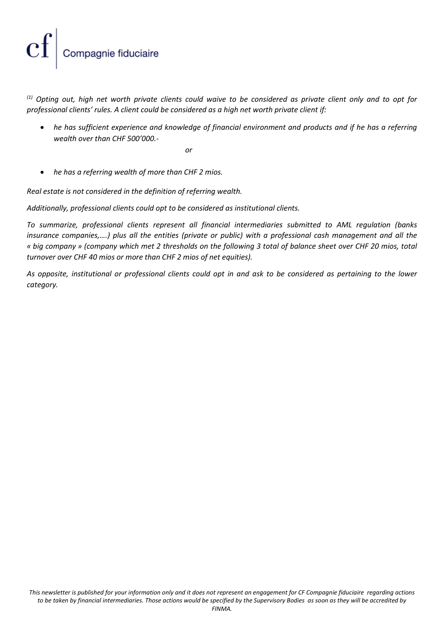## Compagnie fiduciaire

 $(1)$  Opting out, high net worth private clients could waive to be considered as private client only and to opt for professional clients' rules. A client could be considered as a high net worth private client if:

 he has sufficient experience and knowledge of financial environment and products and if he has a referring wealth over than CHF 500'000.-

or

• he has a referring wealth of more than CHF 2 mios.

Real estate is not considered in the definition of referring wealth.

Additionally, professional clients could opt to be considered as institutional clients.

To summarize, professional clients represent all financial intermediaries submitted to AML regulation (banks insurance companies,….) plus all the entities (private or public) with a professional cash management and all the « big company » (company which met 2 thresholds on the following 3 total of balance sheet over CHF 20 mios, total turnover over CHF 40 mios or more than CHF 2 mios of net equities).

As opposite, institutional or professional clients could opt in and ask to be considered as pertaining to the lower category.